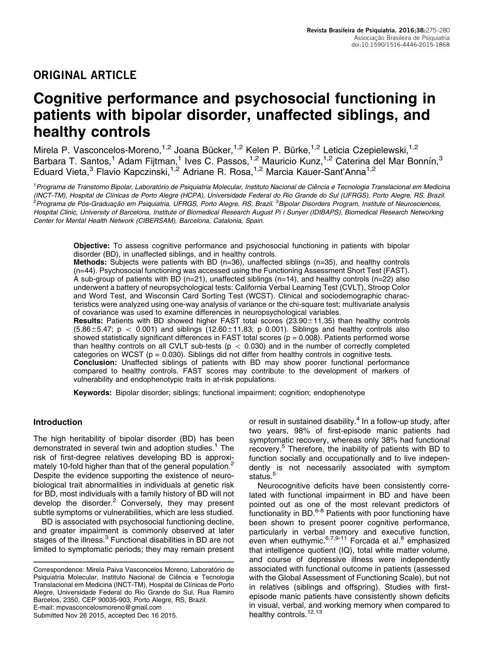# ORIGINAL ARTICLE

# Cognitive performance and psychosocial functioning in patients with bipolar disorder, unaffected siblings, and healthy controls

Mirela P. Vasconcelos-Moreno,<sup>1,2</sup> Joana Bücker,<sup>1,2</sup> Kelen P. Bürke,<sup>1,2</sup> Leticia Czepielewski,<sup>1,2</sup> Barbara T. Santos,<sup>1</sup> Adam Fijtman,<sup>1</sup> Ives C. Passos,<sup>1,2</sup> Mauricio Kunz,<sup>1,2</sup> Caterina del Mar Bonnín,<sup>3</sup> Eduard Vieta,<sup>3</sup> Flavio Kapczinski,<sup>1,2</sup> Adriane R. Rosa,<sup>1,2</sup> Marcia Kauer-Sant'Anna<sup>1,2</sup>

1 Programa de Transtorno Bipolar, Laboratório de Psiquiatria Molecular, Instituto Nacional de Ciência e Tecnologia Translacional em Medicina (INCT-TM), Hospital de Clínicas de Porto Alegre (HCPA), Universidade Federal do Rio Grande do Sul (UFRGS), Porto Alegre, RS, Brazil.<br><sup>2</sup> Programa de Pós-Graduação em Psiquiatria, UFRGS, Porto Alegre, RS, Brazil. <sup>3</sup> Bipola Hospital Clinic, University of Barcelona, Institute of Biomedical Research August Pi i Sunyer (IDIBAPS), Biomedical Research Networking Center for Mental Health Network (CIBERSAM), Barcelona, Catalonia, Spain.

Objective: To assess cognitive performance and psychosocial functioning in patients with bipolar disorder (BD), in unaffected siblings, and in healthy controls.

Methods: Subjects were patients with BD (n=36), unaffected siblings (n=35), and healthy controls (n=44). Psychosocial functioning was accessed using the Functioning Assessment Short Test (FAST). A sub-group of patients with BD ( $n=21$ ), unaffected siblings ( $n=14$ ), and healthy controls ( $n=22$ ) also underwent a battery of neuropsychological tests: California Verbal Learning Test (CVLT), Stroop Color and Word Test, and Wisconsin Card Sorting Test (WCST). Clinical and sociodemographic characteristics were analyzed using one-way analysis of variance or the chi-square test; multivariate analysis of covariance was used to examine differences in neuropsychological variables.

**Results:** Patients with BD showed higher FAST total scores  $(23.90 \pm 11.35)$  than healthy controls  $(5.86\pm5.47; p < 0.001)$  and siblings  $(12.60\pm11.83; p 0.001)$ . Siblings and healthy controls also showed statistically significant differences in FAST total scores ( $p = 0.008$ ). Patients performed worse than healthy controls on all CVLT sub-tests ( $p < 0.030$ ) and in the number of correctly completed categories on WCST ( $p = 0.030$ ). Siblings did not differ from healthy controls in cognitive tests. Conclusion: Unaffected siblings of patients with BD may show poorer functional performance compared to healthy controls. FAST scores may contribute to the development of markers of vulnerability and endophenotypic traits in at-risk populations.

Keywords: Bipolar disorder; siblings; functional impairment; cognition; endophenotype

# Introduction

The high heritability of bipolar disorder (BD) has been demonstrated in several twin and adoption studies.<sup>1</sup> The risk of first-degree relatives developing BD is approximately 10-fold higher than that of the general population.2 Despite the evidence supporting the existence of neurobiological trait abnormalities in individuals at genetic risk for BD, most individuals with a family history of BD will not develop the disorder.<sup>2</sup> Conversely, they may present subtle symptoms or vulnerabilities, which are less studied.

BD is associated with psychosocial functioning decline, and greater impairment is commonly observed at later stages of the illness.<sup>3</sup> Functional disabilities in BD are not limited to symptomatic periods; they may remain present or result in sustained disability.<sup>4</sup> In a follow-up study, after two years, 98% of first-episode manic patients had symptomatic recovery, whereas only 38% had functional recovery.<sup>5</sup> Therefore, the inability of patients with BD to function socially and occupationally and to live independently is not necessarily associated with symptom status.<sup>5</sup>

Neurocognitive deficits have been consistently correlated with functional impairment in BD and have been pointed out as one of the most relevant predictors of functionality in BD.<sup>6-8</sup> Patients with poor functioning have been shown to present poorer cognitive performance, particularly in verbal memory and executive function, even when euthymic. $6,7,9-11$  Forcada et al.<sup>8</sup> emphasized that intelligence quotient (IQ), total white matter volume, and course of depressive illness were independently associated with functional outcome in patients (assessed with the Global Assessment of Functioning Scale), but not in relatives (siblings and offspring). Studies with firstepisode manic patients have consistently shown deficits in visual, verbal, and working memory when compared to healthy controls.<sup>12,13</sup>

Correspondence: Mirela Paiva Vasconcelos Moreno, Laboratório de Psiquiatria Molecular, Instituto Nacional de Ciência e Tecnologia Translacional em Medicina (INCT-TM), Hospital de Clínicas de Porto Alegre, Universidade Federal do Rio Grande do Sul, Rua Ramiro Barcelos, 2350, CEP 90035-903, Porto Alegre, RS, Brazil. E-mail: mpvasconcelosmoreno@gmail.com Submitted Nov 26 2015, accepted Dec 16 2015.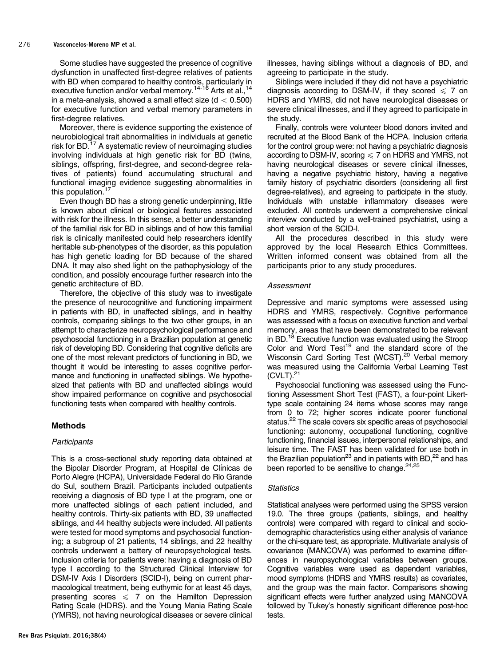Some studies have suggested the presence of cognitive dysfunction in unaffected first-degree relatives of patients with BD when compared to healthy controls, particularly in executive function and/or verbal memory.<sup>14-16</sup> Arts et al.,<sup>14</sup> in a meta-analysis, showed a small effect size  $(d < 0.500)$ for executive function and verbal memory parameters in first-degree relatives.

Moreover, there is evidence supporting the existence of neurobiological trait abnormalities in individuals at genetic risk for  $BD$ <sup>17</sup> A systematic review of neuroimaging studies involving individuals at high genetic risk for BD (twins, siblings, offspring, first-degree, and second-degree relatives of patients) found accumulating structural and functional imaging evidence suggesting abnormalities in this population.

Even though BD has a strong genetic underpinning, little is known about clinical or biological features associated with risk for the illness. In this sense, a better understanding of the familial risk for BD in siblings and of how this familial risk is clinically manifested could help researchers identify heritable sub-phenotypes of the disorder, as this population has high genetic loading for BD because of the shared DNA. It may also shed light on the pathophysiology of the condition, and possibly encourage further research into the genetic architecture of BD.

Therefore, the objective of this study was to investigate the presence of neurocognitive and functioning impairment in patients with BD, in unaffected siblings, and in healthy controls, comparing siblings to the two other groups, in an attempt to characterize neuropsychological performance and psychosocial functioning in a Brazilian population at genetic risk of developing BD. Considering that cognitive deficits are one of the most relevant predictors of functioning in BD, we thought it would be interesting to asses cognitive performance and functioning in unaffected siblings. We hypothesized that patients with BD and unaffected siblings would show impaired performance on cognitive and psychosocial functioning tests when compared with healthy controls.

# Methods

# **Participants**

This is a cross-sectional study reporting data obtained at the Bipolar Disorder Program, at Hospital de Clínicas de Porto Alegre (HCPA), Universidade Federal do Rio Grande do Sul, southern Brazil. Participants included outpatients receiving a diagnosis of BD type I at the program, one or more unaffected siblings of each patient included, and healthy controls. Thirty-six patients with BD, 39 unaffected siblings, and 44 healthy subjects were included. All patients were tested for mood symptoms and psychosocial functioning; a subgroup of 21 patients, 14 siblings, and 22 healthy controls underwent a battery of neuropsychological tests. Inclusion criteria for patients were: having a diagnosis of BD type I according to the Structured Clinical Interview for DSM-IV Axis I Disorders (SCID-I), being on current pharmacological treatment, being euthymic for at least 45 days, presenting scores  $\leq 7$  on the Hamilton Depression Rating Scale (HDRS). and the Young Mania Rating Scale (YMRS), not having neurological diseases or severe clinical

illnesses, having siblings without a diagnosis of BD, and agreeing to participate in the study.

Siblings were included if they did not have a psychiatric diagnosis according to DSM-IV, if they scored  $\leq 7$  on HDRS and YMRS, did not have neurological diseases or severe clinical illnesses, and if they agreed to participate in the study.

Finally, controls were volunteer blood donors invited and recruited at the Blood Bank of the HCPA. Inclusion criteria for the control group were: not having a psychiatric diagnosis according to DSM-IV, scoring  $\leq 7$  on HDRS and YMRS, not having neurological diseases or severe clinical illnesses, having a negative psychiatric history, having a negative family history of psychiatric disorders (considering all first degree-relatives), and agreeing to participate in the study. Individuals with unstable inflammatory diseases were excluded. All controls underwent a comprehensive clinical interview conducted by a well-trained psychiatrist, using a short version of the SCID-I.

All the procedures described in this study were approved by the local Research Ethics Committees. Written informed consent was obtained from all the participants prior to any study procedures.

## Assessment

Depressive and manic symptoms were assessed using HDRS and YMRS, respectively. Cognitive performance was assessed with a focus on executive function and verbal memory, areas that have been demonstrated to be relevant in BD.<sup>18</sup> Executive function was evaluated using the Stroop Color and Word  $Test<sup>19</sup>$  and the standard score of the Wisconsin Card Sorting Test (WCST).<sup>20</sup> Verbal memory was measured using the California Verbal Learning Test  $(CVLT).<sup>21</sup>$ 

Psychosocial functioning was assessed using the Functioning Assessment Short Test (FAST), a four-point Likerttype scale containing 24 items whose scores may range from 0 to 72; higher scores indicate poorer functional status.<sup>22</sup> The scale covers six specific areas of psychosocial functioning: autonomy, occupational functioning, cognitive functioning, financial issues, interpersonal relationships, and leisure time. The FAST has been validated for use both in the Brazilian population<sup>23</sup> and in patients with BD, $^{22}$  and has been reported to be sensitive to change.<sup>24,25</sup>

# **Statistics**

Statistical analyses were performed using the SPSS version 19.0. The three groups (patients, siblings, and healthy controls) were compared with regard to clinical and sociodemographic characteristics using either analysis of variance or the chi-square test, as appropriate. Multivariate analysis of covariance (MANCOVA) was performed to examine differences in neuropsychological variables between groups. Cognitive variables were used as dependent variables, mood symptoms (HDRS and YMRS results) as covariates, and the group was the main factor. Comparisons showing significant effects were further analyzed using MANCOVA followed by Tukey's honestly significant difference post-hoc tests.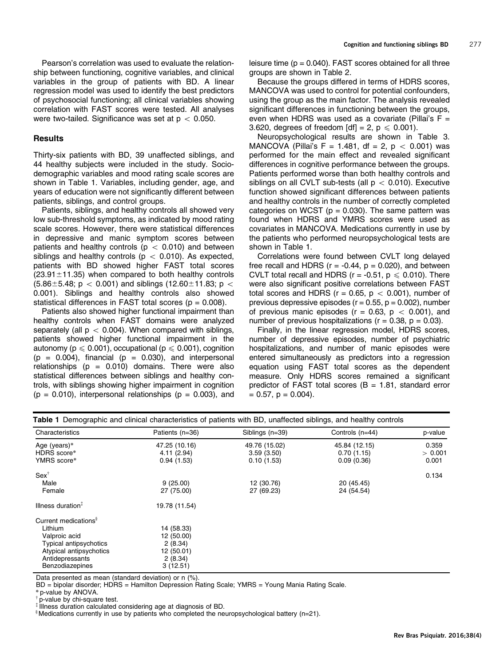Pearson's correlation was used to evaluate the relationship between functioning, cognitive variables, and clinical variables in the group of patients with BD. A linear regression model was used to identify the best predictors of psychosocial functioning; all clinical variables showing correlation with FAST scores were tested. All analyses were two-tailed. Significance was set at  $p < 0.050$ .

#### **Results**

Thirty-six patients with BD, 39 unaffected siblings, and 44 healthy subjects were included in the study. Sociodemographic variables and mood rating scale scores are shown in Table 1. Variables, including gender, age, and years of education were not significantly different between patients, siblings, and control groups.

Patients, siblings, and healthy controls all showed very low sub-threshold symptoms, as indicated by mood rating scale scores. However, there were statistical differences in depressive and manic symptom scores between patients and healthy controls ( $p < 0.010$ ) and between siblings and healthy controls ( $p < 0.010$ ). As expected, patients with BD showed higher FAST total scores  $(23.91 \pm 11.35)$  when compared to both healthy controls  $(5.86 \pm 5.48; p < 0.001)$  and siblings (12.60 $\pm$ 11.83; p  $<$ 0.001). Siblings and healthy controls also showed statistical differences in FAST total scores ( $p = 0.008$ ).

Patients also showed higher functional impairment than healthy controls when FAST domains were analyzed separately (all  $p < 0.004$ ). When compared with siblings, patients showed higher functional impairment in the autonomy ( $p \le 0.001$ ), occupational ( $p \le 0.001$ ), cognition  $(p = 0.004)$ , financial  $(p = 0.030)$ , and interpersonal relationships  $(p = 0.010)$  domains. There were also statistical differences between siblings and healthy controls, with siblings showing higher impairment in cognition  $(p = 0.010)$ , interpersonal relationships  $(p = 0.003)$ , and leisure time  $(p = 0.040)$ . FAST scores obtained for all three groups are shown in Table 2.

Because the groups differed in terms of HDRS scores, MANCOVA was used to control for potential confounders, using the group as the main factor. The analysis revealed significant differences in functioning between the groups, even when HDRS was used as a covariate (Pillai's  $F =$ 3.620, degrees of freedom  $[df] = 2$ ,  $p \le 0.001$ ).

Neuropsychological results are shown in Table 3. MANCOVA (Pillai's  $F = 1.481$ , df = 2, p < 0.001) was performed for the main effect and revealed significant differences in cognitive performance between the groups. Patients performed worse than both healthy controls and siblings on all CVLT sub-tests (all  $p < 0.010$ ). Executive function showed significant differences between patients and healthy controls in the number of correctly completed categories on WCST ( $p = 0.030$ ). The same pattern was found when HDRS and YMRS scores were used as covariates in MANCOVA. Medications currently in use by the patients who performed neuropsychological tests are shown in Table 1.

Correlations were found between CVLT long delayed free recall and HDRS ( $r = -0.44$ ,  $p = 0.020$ ), and between CVLT total recall and HDRS ( $r = -0.51$ ,  $p \le 0.010$ ). There were also significant positive correlations between FAST total scores and HDRS ( $r = 0.65$ ,  $p < 0.001$ ), number of previous depressive episodes ( $r = 0.55$ ,  $p = 0.002$ ), number of previous manic episodes ( $r = 0.63$ ,  $p < 0.001$ ), and number of previous hospitalizations ( $r = 0.38$ ,  $p = 0.03$ ).

Finally, in the linear regression model, HDRS scores, number of depressive episodes, number of psychiatric hospitalizations, and number of manic episodes were entered simultaneously as predictors into a regression equation using FAST total scores as the dependent measure. Only HDRS scores remained a significant predictor of FAST total scores ( $B = 1.81$ , standard error  $= 0.57$ ,  $p = 0.004$ ).

| ັ                                |                 |                 |                   |         |
|----------------------------------|-----------------|-----------------|-------------------|---------|
| Characteristics                  | Patients (n=36) | Siblings (n=39) | Controls $(n=44)$ | p-value |
| Age (years)*                     | 47.25 (10.16)   | 49.76 (15.02)   | 45.84 (12.15)     | 0.359   |
| HDRS score*                      | 4.11(2.94)      | 3.59(3.50)      | 0.70(1.15)        | > 0.001 |
| YMRS score*                      | 0.94(1.53)      | 0.10(1.53)      | 0.09(0.36)        | 0.001   |
| $Sex^{\dagger}$                  |                 |                 |                   | 0.134   |
| Male                             | 9(25.00)        | 12 (30.76)      | 20 (45.45)        |         |
| Female                           | 27 (75.00)      | 27 (69.23)      | 24 (54.54)        |         |
| Illness duration <sup>#</sup>    | 19.78 (11.54)   |                 |                   |         |
| Current medications <sup>§</sup> |                 |                 |                   |         |
| Lithium                          | 14 (58.33)      |                 |                   |         |
| Valproic acid                    | 12 (50.00)      |                 |                   |         |
| Typical antipsychotics           | 2(8.34)         |                 |                   |         |
| Atypical antipsychotics          | 12 (50.01)      |                 |                   |         |
| Antidepressants                  | 2(8.34)         |                 |                   |         |
| Benzodiazepines                  | 3(12.51)        |                 |                   |         |

|  | Table 1 Demographic and clinical characteristics of patients with BD, unaffected siblings, and healthy controls |  |  |  |
|--|-----------------------------------------------------------------------------------------------------------------|--|--|--|
|--|-----------------------------------------------------------------------------------------------------------------|--|--|--|

Data presented as mean (standard deviation) or n (%).

BD = bipolar disorder; HDRS = Hamilton Depression Rating Scale; YMRS = Young Mania Rating Scale.

 $\ddot{\ }$  Illness duration calculated considering age at diagnosis of BD.

 $\delta$  Medications currently in use by patients who completed the neuropsychological battery (n=21).

 $*$  p-value by ANOVA.<br> $\frac{1}{l}$  p-value by chi-square test.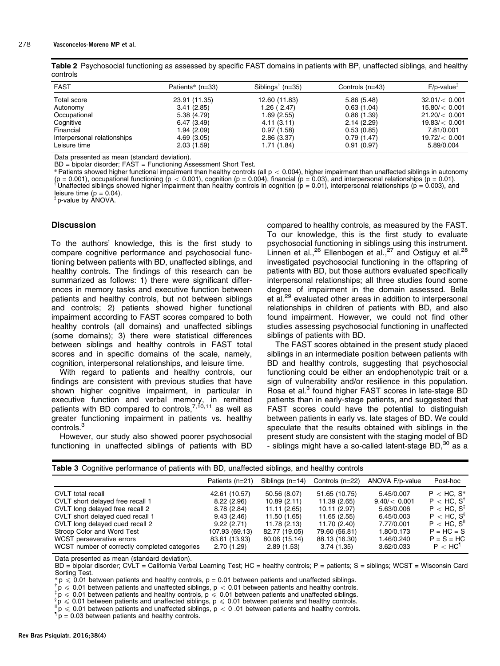|          | Table 2 Psychosocial functioning as assessed by specific FAST domains in patients with BP, unaffected siblings, and healthy |  |  |  |
|----------|-----------------------------------------------------------------------------------------------------------------------------|--|--|--|
| controls |                                                                                                                             |  |  |  |

| <b>FAST</b>                 | Patients* (n=33) | $Sibling^{\dagger}$ (n=35) | Controls $(n=43)$ | $F/p$ -value <sup><math>\bar{x}</math></sup> |
|-----------------------------|------------------|----------------------------|-------------------|----------------------------------------------|
| Total score                 | 23.91 (11.35)    | 12.60 (11.83)              | 5.86(5.48)        | 32.01/ <sub>0.001</sub>                      |
| Autonomy                    | 3.41(2.85)       | 1.26(2.47)                 | 0.63(1.04)        | 15.80 < 0.001                                |
| Occupational                | 5.38(4.79)       | 1.69(2.55)                 | 0.86(1.39)        | 21.20 < 0.001                                |
| Cognitive                   | 6.47(3.49)       | 4.11(3.11)                 | 2.14(2.29)        | 19.83 < 0.001                                |
| Financial                   | 1.94(2.09)       | 0.97(1.58)                 | 0.53(0.85)        | 7.81/0.001                                   |
| Interpersonal relationships | 4.69 (3.05)      | 2.86(3.37)                 | 0.79(1.47)        | 19.72 < 0.001                                |
| Leisure time                | 2.03(1.59)       | 1.71(1.84)                 | 0.91(0.97)        | 5.89/0.004                                   |

Data presented as mean (standard deviation).

BD = bipolar disorder; FAST = Functioning Assessment Short Test.

 $*$  Patients showed higher functional impairment than healthy controls (all  $p < 0.004$ ), higher impairment than unaffected siblings in autonomy  $p = 0.001$ , occupational functioning ( $p < 0.001$ ), cognition ( $p = 0.004$ ), financial ( $p = 0.03$ ), and interpersional relationships ( $p = 0.01$ ).<br>
Tunaffected siblings showed higher impairment than healthy controls in cogni leisure time  $(p = 0.04)$ .

 $\overline{p}$  p-value by ANOVA.

#### **Discussion**

To the authors' knowledge, this is the first study to compare cognitive performance and psychosocial functioning between patients with BD, unaffected siblings, and healthy controls. The findings of this research can be summarized as follows: 1) there were significant differences in memory tasks and executive function between patients and healthy controls, but not between siblings and controls; 2) patients showed higher functional impairment according to FAST scores compared to both healthy controls (all domains) and unaffected siblings (some domains); 3) there were statistical differences between siblings and healthy controls in FAST total scores and in specific domains of the scale, namely, cognition, interpersonal relationships, and leisure time.

With regard to patients and healthy controls, our findings are consistent with previous studies that have shown higher cognitive impairment, in particular in executive function and verbal memory, in remitted patients with BD compared to controls,<sup>7,10,11</sup> as well as greater functioning impairment in patients vs. healthy controls.3

However, our study also showed poorer psychosocial functioning in unaffected siblings of patients with BD compared to healthy controls, as measured by the FAST. To our knowledge, this is the first study to evaluate psychosocial functioning in siblings using this instrument. Linnen et al.,<sup>26</sup> Ellenbogen et al.,<sup>27</sup> and Ostiguy et al.<sup>28</sup> investigated psychosocial functioning in the offspring of patients with BD, but those authors evaluated specifically interpersonal relationships; all three studies found some degree of impairment in the domain assessed. Bella et al.<sup>29</sup> evaluated other areas in addition to interpersonal relationships in children of patients with BD, and also found impairment. However, we could not find other studies assessing psychosocial functioning in unaffected siblings of patients with BD.

The FAST scores obtained in the present study placed siblings in an intermediate position between patients with BD and healthy controls, suggesting that psychosocial functioning could be either an endophenotypic trait or a sign of vulnerability and/or resilience in this population. Rosa et al.<sup>3</sup> found higher FAST scores in late-stage BD patients than in early-stage patients, and suggested that FAST scores could have the potential to distinguish between patients in early vs. late stages of BD. We could speculate that the results obtained with siblings in the present study are consistent with the staging model of BD - siblings might have a so-called latent-stage BD,  $30$  as a

| <b>Table 3</b> Cognitive performance of patients with BD, unaffected siblings, and healthy controls |                   |                   |                 |                 |                            |
|-----------------------------------------------------------------------------------------------------|-------------------|-------------------|-----------------|-----------------|----------------------------|
|                                                                                                     | Patients $(n=21)$ | Siblings $(n=14)$ | Controls (n=22) | ANOVA F/p-value | Post-hoc                   |
| <b>CVLT</b> total recall                                                                            | 42.61 (10.57)     | 50.56 (8.07)      | 51.65 (10.75)   | 5.45/0.007      | $P <$ HC, $S^*$            |
| CVLT short delayed free recall 1                                                                    | 8.22(2.96)        | 10.89(2.11)       | 11.39 (2.65)    | 9.40 < 0.001    | $P <$ HC. S <sup>†</sup>   |
| CVLT long delayed free recall 2                                                                     | 8.78(2.84)        | 11.11(2.65)       | 10.11(2.97)     | 5.63/0.006      | $P <$ HC. S <sup>T</sup>   |
| CVLT short delayed cued recall 1                                                                    | 9.43(2.46)        | 11.50 (1.65)      | 11.65 (2.55)    | 6.45/0.003      | $P < HC$ , $S^{\S}$        |
| CVLT long delayed cued recall 2                                                                     | 9.22(2.71)        | 11.78 (2.13)      | 11.70 (2.40)    | 7.77/0.001      | $P < HC$ . S <sup>II</sup> |
| Stroop Color and Word Test                                                                          | 107.93 (69.13)    | 82.77 (19.05)     | 79.60 (56.81)   | 1.80/0.173      | $P = HC = S$               |
| WCST perseverative errors                                                                           | 83.61 (13.93)     | 80.06 (15.14)     | 88.13 (16.30)   | 1.46/0.240      | $P = S = HC$               |
| WCST number of correctly completed categories                                                       | 2.70(1.29)        | 2.89(1.53)        | 3.74(1.35)      | 3.62/0.033      | P < HC <sup>1</sup>        |

Data presented as mean (standard deviation).

BD = bipolar disorder; CVLT = California Verbal Learning Test; HC = healthy controls; P = patients; S = siblings; WCST = Wisconsin Card Sorting Test.<br>\*  $p \le 0.01$  between patients and healthy controls,  $p = 0.01$  between patients and unaffected siblings.

 $\uparrow p \leq 0.01$  between patients and unaffected siblings,  $p < 0.01$  between patients and healthy controls.<br> $\uparrow p \leq 0.01$  between patients and healthy controls,  $p \leq 0.01$  between patients and unaffected siblings.<br> $\uparrow p \le$ 

 $\binom{n}{p}$   $\leq$  0.01 between patients and unaffected siblings,  $p$  < 0.01 between patients and healthy controls.<br>  $\binom{n}{p}$  = 0.03 between patients and healthy controls.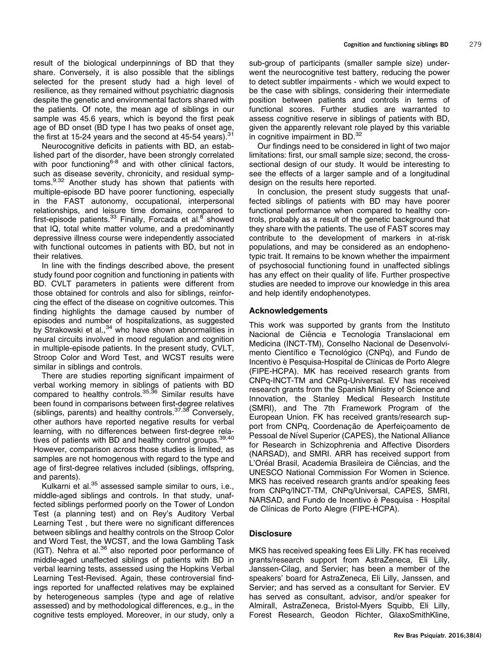result of the biological underpinnings of BD that they share. Conversely, it is also possible that the siblings selected for the present study had a high level of resilience, as they remained without psychiatric diagnosis despite the genetic and environmental factors shared with the patients. Of note, the mean age of siblings in our sample was 45.6 years, which is beyond the first peak age of BD onset (BD type I has two peaks of onset age, the first at 15-24 years and the second at 45-54 years). $\frac{3}{10}$ 

Neurocognitive deficits in patients with BD, an established part of the disorder, have been strongly correlated with poor functioning $6-8$  and with other clinical factors, such as disease severity, chronicity, and residual symptoms.9,32 Another study has shown that patients with multiple-episode BD have poorer functioning, especially in the FAST autonomy, occupational, interpersonal relationships, and leisure time domains, compared to first-episode patients. $33$  Finally, Forcada et al.<sup>8</sup> showed that IQ, total white matter volume, and a predominantly depressive illness course were independently associated with functional outcomes in patients with BD, but not in their relatives.

In line with the findings described above, the present study found poor cognition and functioning in patients with BD. CVLT parameters in patients were different from those obtained for controls and also for siblings, reinforcing the effect of the disease on cognitive outcomes. This finding highlights the damage caused by number of episodes and number of hospitalizations, as suggested by Strakowski et al.,<sup>34</sup> who have shown abnormalities in neural circuits involved in mood regulation and cognition in multiple-episode patients. In the present study, CVLT, Stroop Color and Word Test, and WCST results were similar in siblings and controls.

There are studies reporting significant impairment of verbal working memory in siblings of patients with BD compared to healthy controls.<sup>35,36</sup> Similar results have been found in comparisons between first-degree relatives (siblings, parents) and healthy controls.  $37,38$  Conversely, other authors have reported negative results for verbal learning, with no differences between first-degree relatives of patients with BD and healthy control groups.<sup>39,40</sup> However, comparison across those studies is limited, as samples are not homogenous with regard to the type and age of first-degree relatives included (siblings, offspring, and parents).

Kulkarni et al.<sup>35</sup> assessed sample similar to ours, i.e., middle-aged siblings and controls. In that study, unaffected siblings performed poorly on the Tower of London Test (a planning test) and on Rey's Auditory Verbal Learning Test , but there were no significant differences between siblings and healthy controls on the Stroop Color and Word Test, the WCST, and the Iowa Gambling Task (IGT). Nehra et al.<sup>36</sup> also reported poor performance of middle-aged unaffected siblings of patients with BD in verbal learning tests, assessed using the Hopkins Verbal Learning Test-Revised. Again, these controversial findings reported for unaffected relatives may be explained by heterogeneous samples (type and age of relative assessed) and by methodological differences, e.g., in the cognitive tests employed. Moreover, in our study, only a

sub-group of participants (smaller sample size) underwent the neurocognitive test battery, reducing the power to detect subtler impairments - which we would expect to be the case with siblings, considering their intermediate position between patients and controls in terms of functional scores. Further studies are warranted to assess cognitive reserve in siblings of patients with BD, given the apparently relevant role played by this variable in cognitive impairment in BD.<sup>32</sup>

Our findings need to be considered in light of two major limitations: first, our small sample size; second, the crosssectional design of our study. It would be interesting to see the effects of a larger sample and of a longitudinal design on the results here reported.

In conclusion, the present study suggests that unaffected siblings of patients with BD may have poorer functional performance when compared to healthy controls, probably as a result of the genetic background that they share with the patients. The use of FAST scores may contribute to the development of markers in at-risk populations, and may be considered as an endophenotypic trait. It remains to be known whether the impairment of psychosocial functioning found in unaffected siblings has any effect on their quality of life. Further prospective studies are needed to improve our knowledge in this area and help identify endophenotypes.

## Acknowledgements

This work was supported by grants from the Instituto Nacional de Ciência e Tecnologia Translacional em Medicina (INCT-TM), Conselho Nacional de Desenvolvimento Científico e Tecnológico (CNPq), and Fundo de Incentivo è Pesquisa-Hospital de Clínicas de Porto Alegre (FIPE-HCPA). MK has received research grants from CNPq-INCT-TM and CNPq-Universal. EV has received research grants from the Spanish Ministry of Science and Innovation, the Stanley Medical Research Institute (SMRI), and The 7th Framework Program of the European Union. FK has received grants/research support from CNPq, Coordenação de Aperfeicoamento de Pessoal de Nível Superior (CAPES), the National Alliance for Research in Schizophrenia and Affective Disorders (NARSAD), and SMRI. ARR has received support from L'Oréal Brasil, Academia Brasileira de Ciências, and the UNESCO National Commission For Women in Science. MKS has received research grants and/or speaking fees from CNPq/INCT-TM, CNPq/Universal, CAPES, SMRI, NARSAD, and Fundo de Incentivo è Pesquisa - Hospital de Clínicas de Porto Alegre (FIPE-HCPA).

#### **Disclosure**

MKS has received speaking fees Eli Lilly. FK has received grants/research support from AstraZeneca, Eli Lilly, Janssen-Cilag, and Servier; has been a member of the speakers' board for AstraZeneca, Eli Lilly, Janssen, and Servier; and has served as a consultant for Servier. EV has served as consultant, advisor, and/or speaker for Almirall, AstraZeneca, Bristol-Myers Squibb, Eli Lilly, Forest Research, Geodon Richter, GlaxoSmithKline,